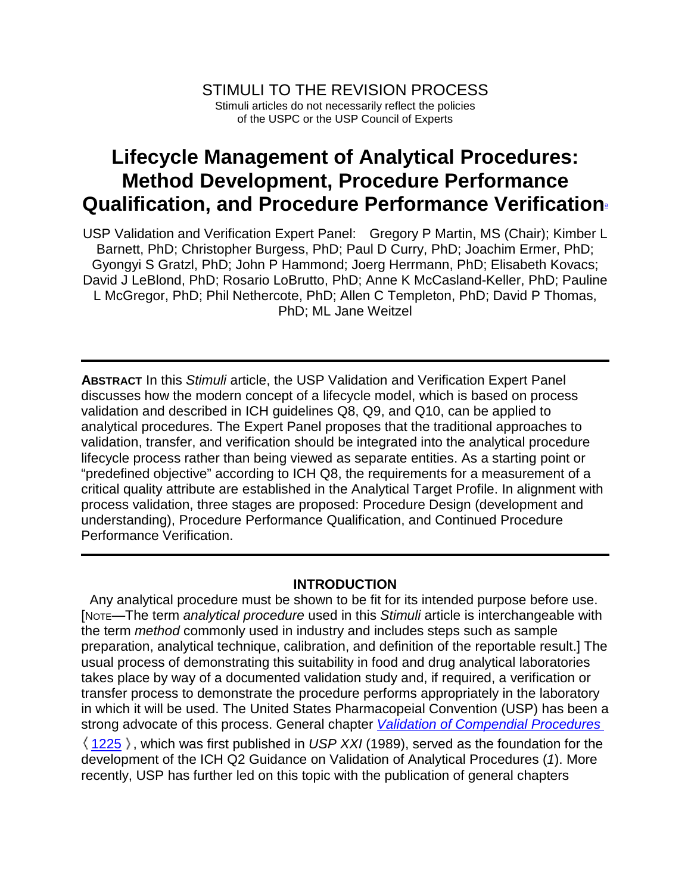## **Lifecycle Management of Analytical Procedures: Method Development, Procedure Performance Qualification, and Procedure Performance Verification**<sup>a</sup>

USP Validation and Verification Expert Panel: Gregory P Martin, MS (Chair); Kimber L Barnett, PhD; Christopher Burgess, PhD; Paul D Curry, PhD; Joachim Ermer, PhD; Gyongyi S Gratzl, PhD; John P Hammond; Joerg Herrmann, PhD; Elisabeth Kovacs; David J LeBlond, PhD; Rosario LoBrutto, PhD; Anne K McCasland-Keller, PhD; Pauline L McGregor, PhD; Phil Nethercote, PhD; Allen C Templeton, PhD; David P Thomas, PhD; ML Jane Weitzel

**ABSTRACT** In this *Stimuli* article, the USP Validation and Verification Expert Panel discusses how the modern concept of a lifecycle model, which is based on process validation and described in ICH guidelines Q8, Q9, and Q10, can be applied to analytical procedures. The Expert Panel proposes that the traditional approaches to validation, transfer, and verification should be integrated into the analytical procedure lifecycle process rather than being viewed as separate entities. As a starting point or "predefined objective" according to ICH Q8, the requirements for a measurement of a critical quality attribute are established in the Analytical Target Profile. In alignment with process validation, three stages are proposed: Procedure Design (development and understanding), Procedure Performance Qualification, and Continued Procedure Performance Verification.

## **INTRODUCTION**

Any analytical procedure must be shown to be fit for its intended purpose before use. [NOTE—The term *analytical procedure* used in this *Stimuli* article is interchangeable with the term *method* commonly used in industry and includes steps such as sample preparation, analytical technique, calibration, and definition of the reportable result.] The usual process of demonstrating this suitability in food and drug analytical laboratories takes place by way of a documented validation study and, if required, a verification or transfer process to demonstrate the procedure performs appropriately in the laboratory in which it will be used. The United States Pharmacopeial Convention (USP) has been a strong advocate of this process. General chapter *Validation of Compendial Procedures*   $\langle$  1225  $\rangle$ , which was first published in *USP XXI* (1989), served as the foundation for the development of the ICH Q2 Guidance on Validation of Analytical Procedures (*1*). More recently, USP has further led on this topic with the publication of general chapters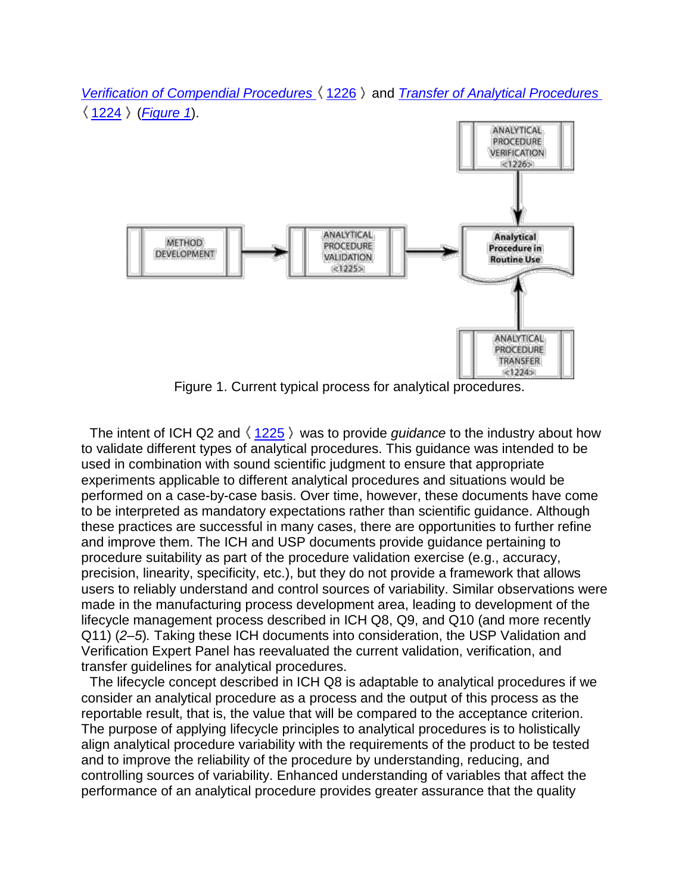



Figure 1. Current typical process for analytical procedures.

The intent of ICH Q2 and  $\langle 1225 \rangle$  was to provide *guidance* to the industry about how to validate different types of analytical procedures. This guidance was intended to be used in combination with sound scientific judgment to ensure that appropriate experiments applicable to different analytical procedures and situations would be performed on a case-by-case basis. Over time, however, these documents have come to be interpreted as mandatory expectations rather than scientific guidance. Although these practices are successful in many cases, there are opportunities to further refine and improve them. The ICH and USP documents provide guidance pertaining to procedure suitability as part of the procedure validation exercise (e.g., accuracy, precision, linearity, specificity, etc.), but they do not provide a framework that allows users to reliably understand and control sources of variability. Similar observations were made in the manufacturing process development area, leading to development of the lifecycle management process described in ICH Q8, Q9, and Q10 (and more recently Q11) (*2–5*)*.* Taking these ICH documents into consideration, the USP Validation and Verification Expert Panel has reevaluated the current validation, verification, and transfer guidelines for analytical procedures.

The lifecycle concept described in ICH Q8 is adaptable to analytical procedures if we consider an analytical procedure as a process and the output of this process as the reportable result, that is, the value that will be compared to the acceptance criterion. The purpose of applying lifecycle principles to analytical procedures is to holistically align analytical procedure variability with the requirements of the product to be tested and to improve the reliability of the procedure by understanding, reducing, and controlling sources of variability. Enhanced understanding of variables that affect the performance of an analytical procedure provides greater assurance that the quality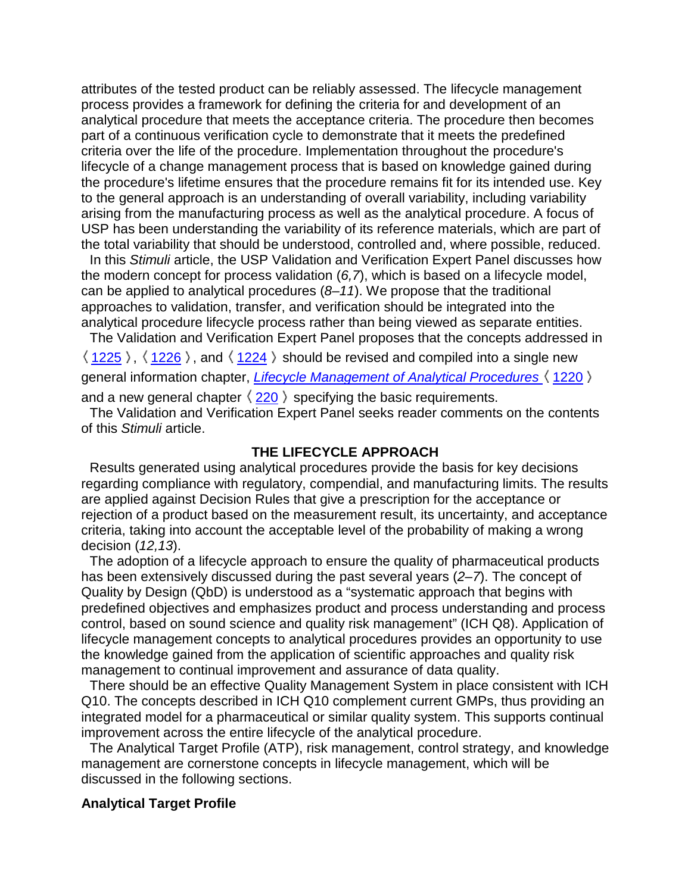attributes of the tested product can be reliably assessed. The lifecycle management process provides a framework for defining the criteria for and development of an analytical procedure that meets the acceptance criteria. The procedure then becomes part of a continuous verification cycle to demonstrate that it meets the predefined criteria over the life of the procedure. Implementation throughout the procedure's lifecycle of a change management process that is based on knowledge gained during the procedure's lifetime ensures that the procedure remains fit for its intended use. Key to the general approach is an understanding of overall variability, including variability arising from the manufacturing process as well as the analytical procedure. A focus of USP has been understanding the variability of its reference materials, which are part of the total variability that should be understood, controlled and, where possible, reduced.

In this *Stimuli* article, the USP Validation and Verification Expert Panel discusses how the modern concept for process validation (*6,7*), which is based on a lifecycle model, can be applied to analytical procedures (*8–11*). We propose that the traditional approaches to validation, transfer, and verification should be integrated into the analytical procedure lifecycle process rather than being viewed as separate entities.

The Validation and Verification Expert Panel proposes that the concepts addressed in  $\langle 1225 \rangle$ ,  $\langle 1226 \rangle$ , and  $\langle 1224 \rangle$  should be revised and compiled into a single new general information chapter, *Lifecycle Management of Analytical Procedures* 1220 and a new general chapter  $\langle 220 \rangle$  specifying the basic requirements.

The Validation and Verification Expert Panel seeks reader comments on the contents of this *Stimuli* article.

#### **THE LIFECYCLE APPROACH**

Results generated using analytical procedures provide the basis for key decisions regarding compliance with regulatory, compendial, and manufacturing limits. The results are applied against Decision Rules that give a prescription for the acceptance or rejection of a product based on the measurement result, its uncertainty, and acceptance criteria, taking into account the acceptable level of the probability of making a wrong decision (*12,13*).

The adoption of a lifecycle approach to ensure the quality of pharmaceutical products has been extensively discussed during the past several years (*2–7*). The concept of Quality by Design (QbD) is understood as a "systematic approach that begins with predefined objectives and emphasizes product and process understanding and process control, based on sound science and quality risk management" (ICH Q8). Application of lifecycle management concepts to analytical procedures provides an opportunity to use the knowledge gained from the application of scientific approaches and quality risk management to continual improvement and assurance of data quality.

There should be an effective Quality Management System in place consistent with ICH Q10. The concepts described in ICH Q10 complement current GMPs, thus providing an integrated model for a pharmaceutical or similar quality system. This supports continual improvement across the entire lifecycle of the analytical procedure.

The Analytical Target Profile (ATP), risk management, control strategy, and knowledge management are cornerstone concepts in lifecycle management, which will be discussed in the following sections.

#### **Analytical Target Profile**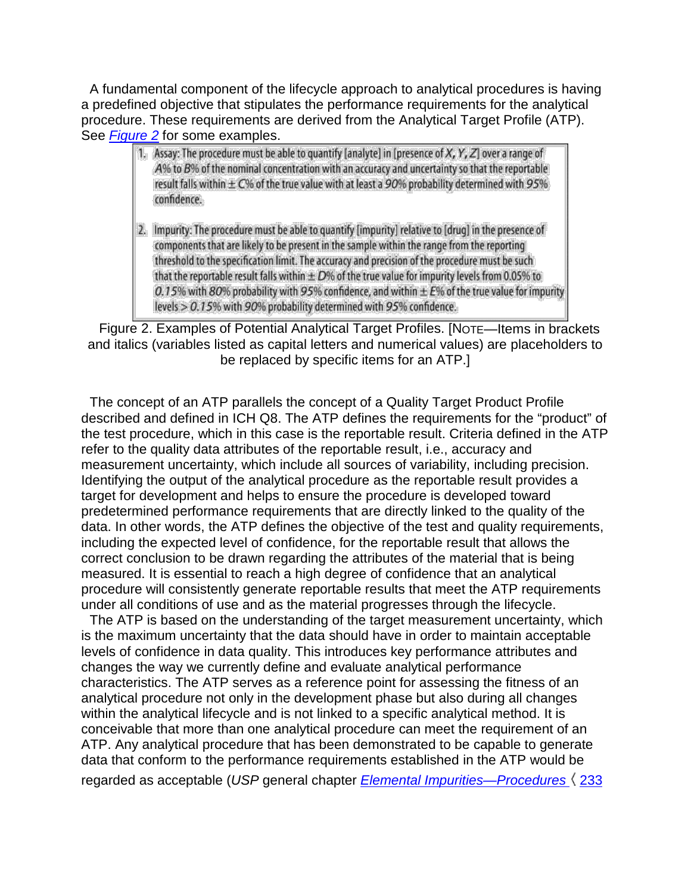A fundamental component of the lifecycle approach to analytical procedures is having a predefined objective that stipulates the performance requirements for the analytical procedure. These requirements are derived from the Analytical Target Profile (ATP). See *Figure 2* for some examples.

- 1. Assay: The procedure must be able to quantify [analyte] in [presence of X, Y, Z] over a range of A% to B% of the nominal concentration with an accuracy and uncertainty so that the reportable result falls within  $\pm$  C% of the true value with at least a 90% probability determined with 95% confidence.
- 2. Impurity: The procedure must be able to quantify [impurity] relative to [drug] in the presence of components that are likely to be present in the sample within the range from the reporting threshold to the specification limit. The accuracy and precision of the procedure must be such that the reportable result falls within  $\pm D$ % of the true value for impurity levels from 0.05% to 0.15% with 80% probability with 95% confidence, and within  $\pm E$ % of the true value for impurity levels > 0.15% with 90% probability determined with 95% confidence.

Figure 2. Examples of Potential Analytical Target Profiles. [NOTE—Items in brackets and italics (variables listed as capital letters and numerical values) are placeholders to be replaced by specific items for an ATP.]

The concept of an ATP parallels the concept of a Quality Target Product Profile described and defined in ICH Q8. The ATP defines the requirements for the "product" of the test procedure, which in this case is the reportable result. Criteria defined in the ATP refer to the quality data attributes of the reportable result, i.e., accuracy and measurement uncertainty, which include all sources of variability, including precision. Identifying the output of the analytical procedure as the reportable result provides a target for development and helps to ensure the procedure is developed toward predetermined performance requirements that are directly linked to the quality of the data. In other words, the ATP defines the objective of the test and quality requirements, including the expected level of confidence, for the reportable result that allows the correct conclusion to be drawn regarding the attributes of the material that is being measured. It is essential to reach a high degree of confidence that an analytical procedure will consistently generate reportable results that meet the ATP requirements under all conditions of use and as the material progresses through the lifecycle.

The ATP is based on the understanding of the target measurement uncertainty, which is the maximum uncertainty that the data should have in order to maintain acceptable levels of confidence in data quality. This introduces key performance attributes and changes the way we currently define and evaluate analytical performance characteristics. The ATP serves as a reference point for assessing the fitness of an analytical procedure not only in the development phase but also during all changes within the analytical lifecycle and is not linked to a specific analytical method. It is conceivable that more than one analytical procedure can meet the requirement of an ATP. Any analytical procedure that has been demonstrated to be capable to generate data that conform to the performance requirements established in the ATP would be regarded as acceptable (*USP* general chapter *Elemental Impurities—Procedures* 233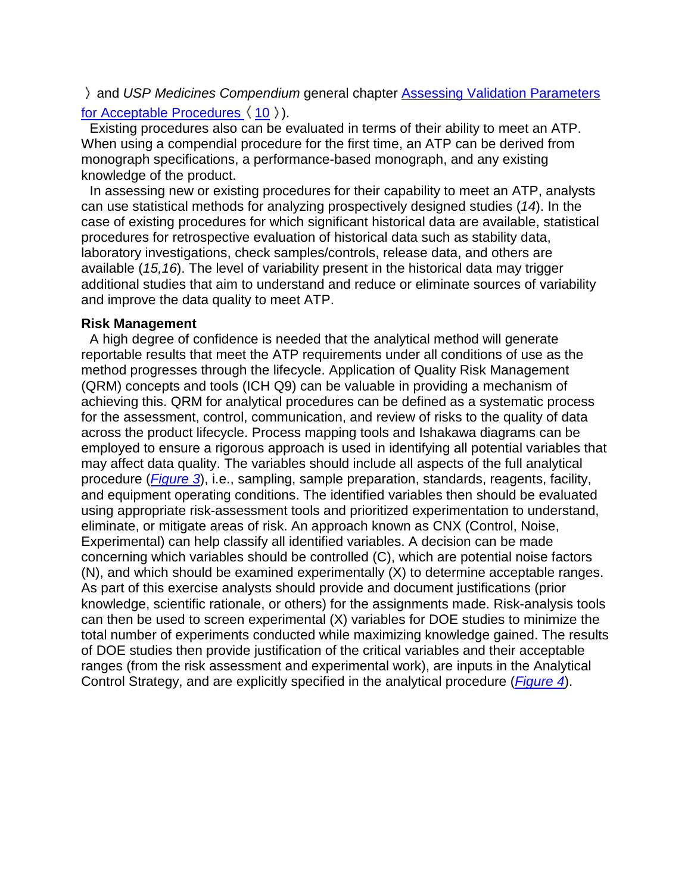and *USP Medicines Compendium* general chapter Assessing Validation Parameters for Acceptable Procedures  $(10)$ .

Existing procedures also can be evaluated in terms of their ability to meet an ATP. When using a compendial procedure for the first time, an ATP can be derived from monograph specifications, a performance-based monograph, and any existing knowledge of the product.

In assessing new or existing procedures for their capability to meet an ATP, analysts can use statistical methods for analyzing prospectively designed studies (*14*). In the case of existing procedures for which significant historical data are available, statistical procedures for retrospective evaluation of historical data such as stability data, laboratory investigations, check samples/controls, release data, and others are available (*15,16*). The level of variability present in the historical data may trigger additional studies that aim to understand and reduce or eliminate sources of variability and improve the data quality to meet ATP.

#### **Risk Management**

A high degree of confidence is needed that the analytical method will generate reportable results that meet the ATP requirements under all conditions of use as the method progresses through the lifecycle. Application of Quality Risk Management (QRM) concepts and tools (ICH Q9) can be valuable in providing a mechanism of achieving this. QRM for analytical procedures can be defined as a systematic process for the assessment, control, communication, and review of risks to the quality of data across the product lifecycle. Process mapping tools and Ishakawa diagrams can be employed to ensure a rigorous approach is used in identifying all potential variables that may affect data quality. The variables should include all aspects of the full analytical procedure (*Figure 3*), i.e., sampling, sample preparation, standards, reagents, facility, and equipment operating conditions. The identified variables then should be evaluated using appropriate risk-assessment tools and prioritized experimentation to understand, eliminate, or mitigate areas of risk. An approach known as CNX (Control, Noise, Experimental) can help classify all identified variables. A decision can be made concerning which variables should be controlled (C), which are potential noise factors (N), and which should be examined experimentally (X) to determine acceptable ranges. As part of this exercise analysts should provide and document justifications (prior knowledge, scientific rationale, or others) for the assignments made. Risk-analysis tools can then be used to screen experimental (X) variables for DOE studies to minimize the total number of experiments conducted while maximizing knowledge gained. The results of DOE studies then provide justification of the critical variables and their acceptable ranges (from the risk assessment and experimental work), are inputs in the Analytical Control Strategy, and are explicitly specified in the analytical procedure (*Figure 4*).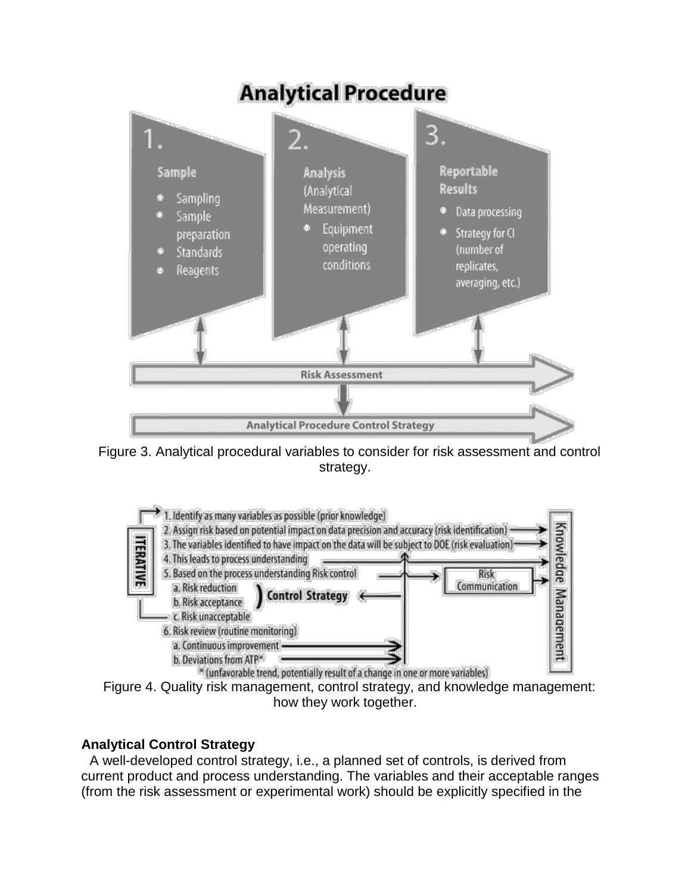# **Analytical Procedure**



Figure 3. Analytical procedural variables to consider for risk assessment and control strategy.



Figure 4. Quality risk management, control strategy, and knowledge management: how they work together.

## **Analytical Control Strategy**

A well-developed control strategy, i.e., a planned set of controls, is derived from current product and process understanding. The variables and their acceptable ranges (from the risk assessment or experimental work) should be explicitly specified in the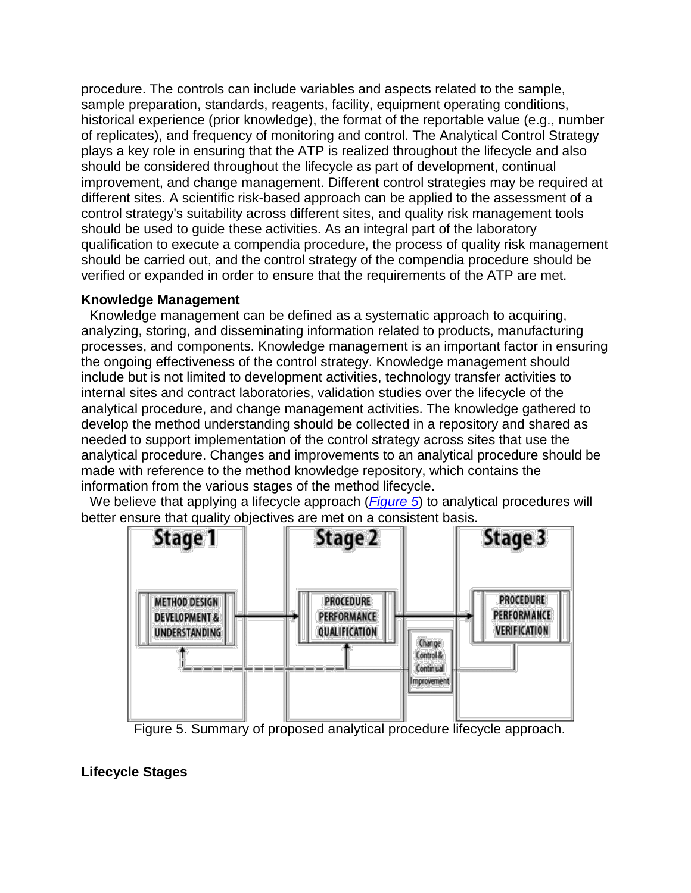procedure. The controls can include variables and aspects related to the sample, sample preparation, standards, reagents, facility, equipment operating conditions, historical experience (prior knowledge), the format of the reportable value (e.g., number of replicates), and frequency of monitoring and control. The Analytical Control Strategy plays a key role in ensuring that the ATP is realized throughout the lifecycle and also should be considered throughout the lifecycle as part of development, continual improvement, and change management. Different control strategies may be required at different sites. A scientific risk-based approach can be applied to the assessment of a control strategy's suitability across different sites, and quality risk management tools should be used to guide these activities. As an integral part of the laboratory qualification to execute a compendia procedure, the process of quality risk management should be carried out, and the control strategy of the compendia procedure should be verified or expanded in order to ensure that the requirements of the ATP are met.

#### **Knowledge Management**

Knowledge management can be defined as a systematic approach to acquiring, analyzing, storing, and disseminating information related to products, manufacturing processes, and components. Knowledge management is an important factor in ensuring the ongoing effectiveness of the control strategy. Knowledge management should include but is not limited to development activities, technology transfer activities to internal sites and contract laboratories, validation studies over the lifecycle of the analytical procedure, and change management activities. The knowledge gathered to develop the method understanding should be collected in a repository and shared as needed to support implementation of the control strategy across sites that use the analytical procedure. Changes and improvements to an analytical procedure should be made with reference to the method knowledge repository, which contains the information from the various stages of the method lifecycle.

We believe that applying a lifecycle approach (*Figure 5*) to analytical procedures will better ensure that quality objectives are met on a consistent basis.



Figure 5. Summary of proposed analytical procedure lifecycle approach.

**Lifecycle Stages**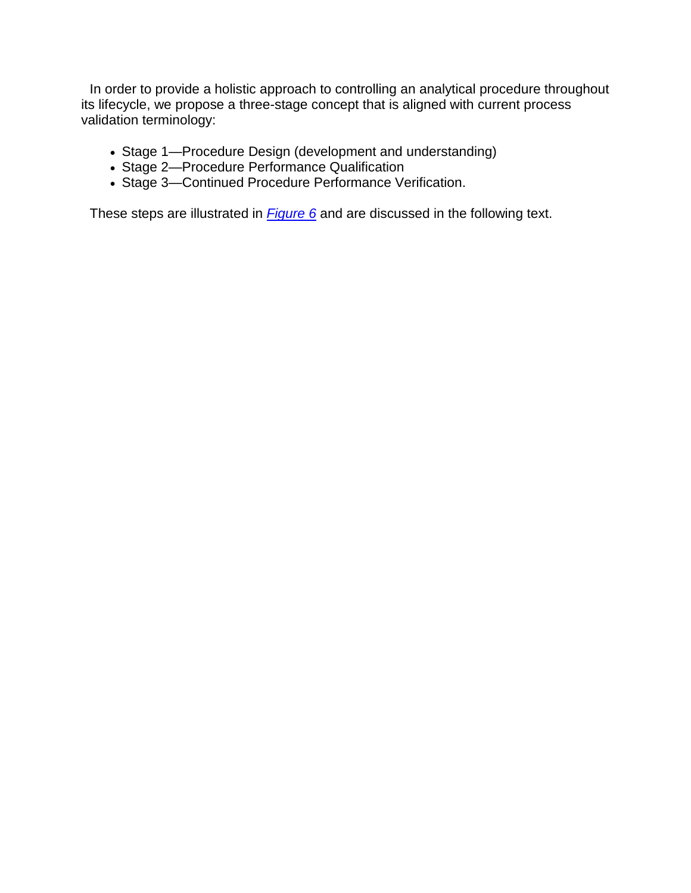In order to provide a holistic approach to controlling an analytical procedure throughout its lifecycle, we propose a three-stage concept that is aligned with current process validation terminology:

- Stage 1—Procedure Design (development and understanding)
- Stage 2—Procedure Performance Qualification
- Stage 3—Continued Procedure Performance Verification.

These steps are illustrated in *Figure 6* and are discussed in the following text.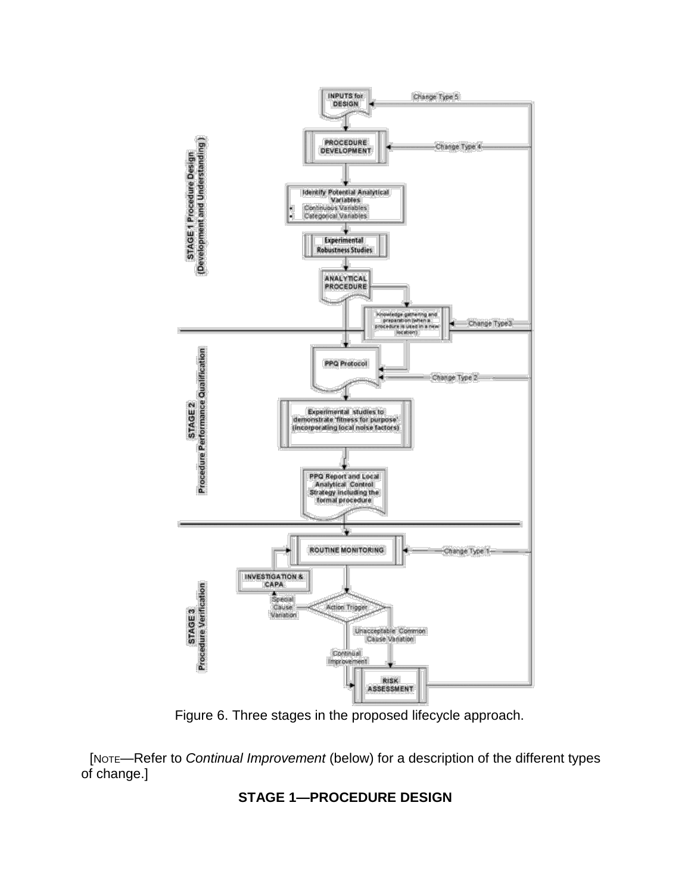

Figure 6. Three stages in the proposed lifecycle approach.

[NOTE—Refer to *Continual Improvement* (below) for a description of the different types of change.]

## **STAGE 1—PROCEDURE DESIGN**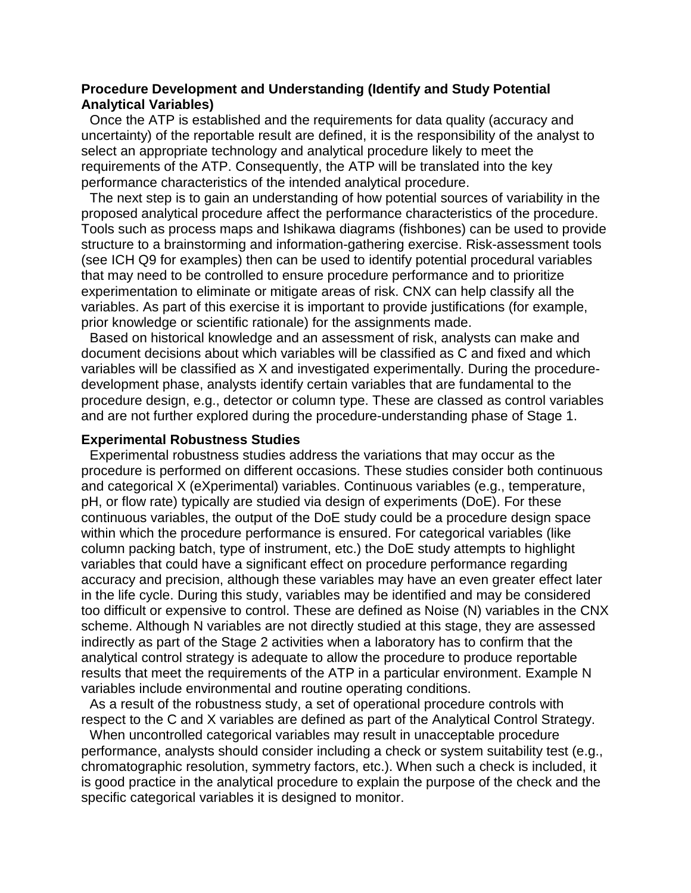#### **Procedure Development and Understanding (Identify and Study Potential Analytical Variables)**

Once the ATP is established and the requirements for data quality (accuracy and uncertainty) of the reportable result are defined, it is the responsibility of the analyst to select an appropriate technology and analytical procedure likely to meet the requirements of the ATP. Consequently, the ATP will be translated into the key performance characteristics of the intended analytical procedure.

The next step is to gain an understanding of how potential sources of variability in the proposed analytical procedure affect the performance characteristics of the procedure. Tools such as process maps and Ishikawa diagrams (fishbones) can be used to provide structure to a brainstorming and information-gathering exercise. Risk-assessment tools (see ICH Q9 for examples) then can be used to identify potential procedural variables that may need to be controlled to ensure procedure performance and to prioritize experimentation to eliminate or mitigate areas of risk. CNX can help classify all the variables. As part of this exercise it is important to provide justifications (for example, prior knowledge or scientific rationale) for the assignments made.

Based on historical knowledge and an assessment of risk, analysts can make and document decisions about which variables will be classified as C and fixed and which variables will be classified as X and investigated experimentally. During the proceduredevelopment phase, analysts identify certain variables that are fundamental to the procedure design, e.g., detector or column type. These are classed as control variables and are not further explored during the procedure-understanding phase of Stage 1.

#### **Experimental Robustness Studies**

Experimental robustness studies address the variations that may occur as the procedure is performed on different occasions. These studies consider both continuous and categorical X (eXperimental) variables. Continuous variables (e.g., temperature, pH, or flow rate) typically are studied via design of experiments (DoE). For these continuous variables, the output of the DoE study could be a procedure design space within which the procedure performance is ensured. For categorical variables (like column packing batch, type of instrument, etc.) the DoE study attempts to highlight variables that could have a significant effect on procedure performance regarding accuracy and precision, although these variables may have an even greater effect later in the life cycle. During this study, variables may be identified and may be considered too difficult or expensive to control. These are defined as Noise (N) variables in the CNX scheme. Although N variables are not directly studied at this stage, they are assessed indirectly as part of the Stage 2 activities when a laboratory has to confirm that the analytical control strategy is adequate to allow the procedure to produce reportable results that meet the requirements of the ATP in a particular environment. Example N variables include environmental and routine operating conditions.

As a result of the robustness study, a set of operational procedure controls with respect to the C and X variables are defined as part of the Analytical Control Strategy.

When uncontrolled categorical variables may result in unacceptable procedure performance, analysts should consider including a check or system suitability test (e.g., chromatographic resolution, symmetry factors, etc.). When such a check is included, it is good practice in the analytical procedure to explain the purpose of the check and the specific categorical variables it is designed to monitor.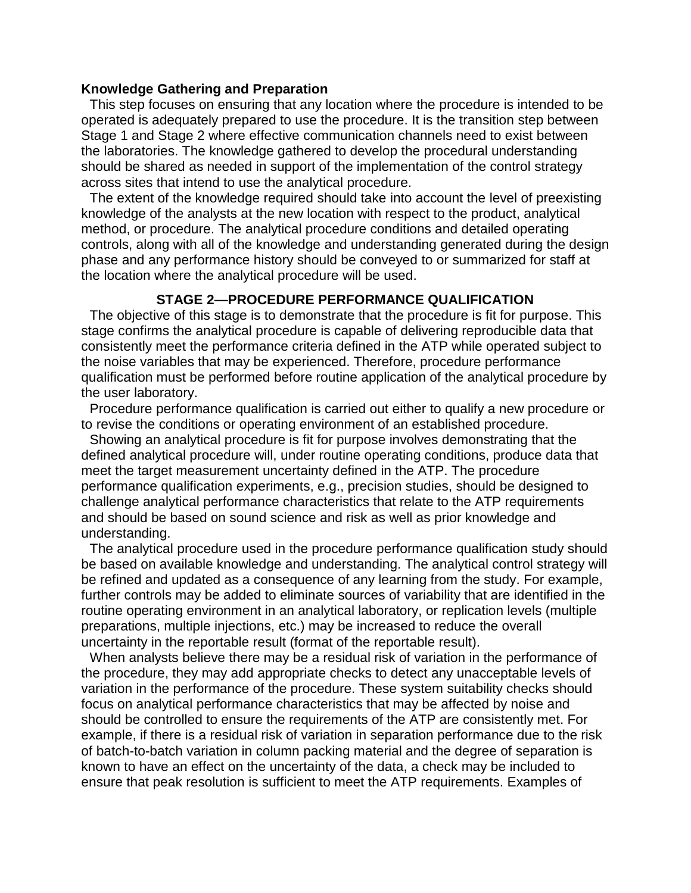#### **Knowledge Gathering and Preparation**

This step focuses on ensuring that any location where the procedure is intended to be operated is adequately prepared to use the procedure. It is the transition step between Stage 1 and Stage 2 where effective communication channels need to exist between the laboratories. The knowledge gathered to develop the procedural understanding should be shared as needed in support of the implementation of the control strategy across sites that intend to use the analytical procedure.

The extent of the knowledge required should take into account the level of preexisting knowledge of the analysts at the new location with respect to the product, analytical method, or procedure. The analytical procedure conditions and detailed operating controls, along with all of the knowledge and understanding generated during the design phase and any performance history should be conveyed to or summarized for staff at the location where the analytical procedure will be used.

#### **STAGE 2—PROCEDURE PERFORMANCE QUALIFICATION**

The objective of this stage is to demonstrate that the procedure is fit for purpose. This stage confirms the analytical procedure is capable of delivering reproducible data that consistently meet the performance criteria defined in the ATP while operated subject to the noise variables that may be experienced. Therefore, procedure performance qualification must be performed before routine application of the analytical procedure by the user laboratory.

Procedure performance qualification is carried out either to qualify a new procedure or to revise the conditions or operating environment of an established procedure.

Showing an analytical procedure is fit for purpose involves demonstrating that the defined analytical procedure will, under routine operating conditions, produce data that meet the target measurement uncertainty defined in the ATP. The procedure performance qualification experiments, e.g., precision studies, should be designed to challenge analytical performance characteristics that relate to the ATP requirements and should be based on sound science and risk as well as prior knowledge and understanding.

The analytical procedure used in the procedure performance qualification study should be based on available knowledge and understanding. The analytical control strategy will be refined and updated as a consequence of any learning from the study. For example, further controls may be added to eliminate sources of variability that are identified in the routine operating environment in an analytical laboratory, or replication levels (multiple preparations, multiple injections, etc.) may be increased to reduce the overall uncertainty in the reportable result (format of the reportable result).

When analysts believe there may be a residual risk of variation in the performance of the procedure, they may add appropriate checks to detect any unacceptable levels of variation in the performance of the procedure. These system suitability checks should focus on analytical performance characteristics that may be affected by noise and should be controlled to ensure the requirements of the ATP are consistently met. For example, if there is a residual risk of variation in separation performance due to the risk of batch-to-batch variation in column packing material and the degree of separation is known to have an effect on the uncertainty of the data, a check may be included to ensure that peak resolution is sufficient to meet the ATP requirements. Examples of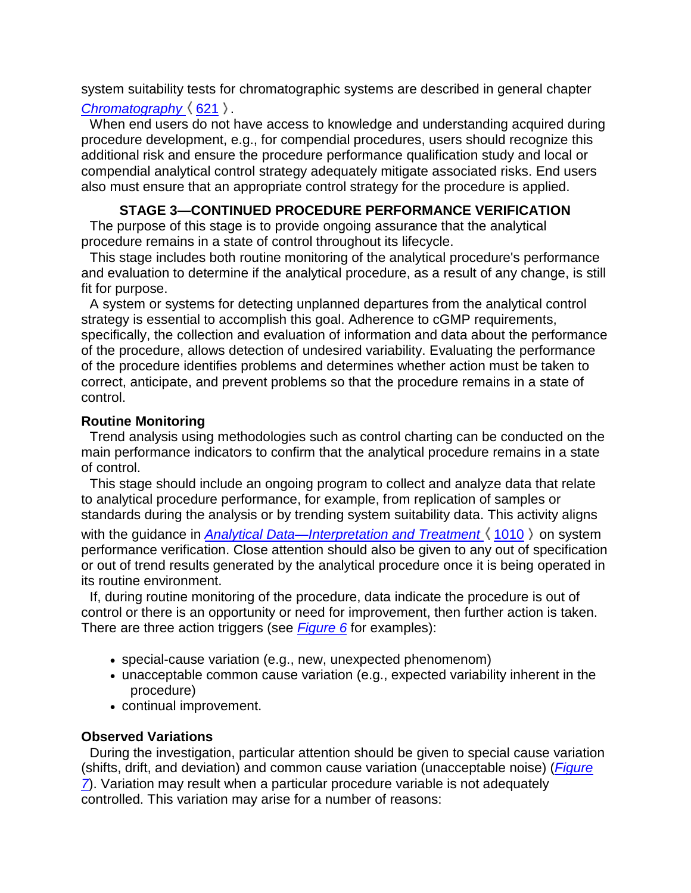system suitability tests for chromatographic systems are described in general chapter *Chromatography*  $(621)$ .

When end users do not have access to knowledge and understanding acquired during procedure development, e.g., for compendial procedures, users should recognize this additional risk and ensure the procedure performance qualification study and local or compendial analytical control strategy adequately mitigate associated risks. End users also must ensure that an appropriate control strategy for the procedure is applied.

## **STAGE 3—CONTINUED PROCEDURE PERFORMANCE VERIFICATION**

The purpose of this stage is to provide ongoing assurance that the analytical procedure remains in a state of control throughout its lifecycle.

This stage includes both routine monitoring of the analytical procedure's performance and evaluation to determine if the analytical procedure, as a result of any change, is still fit for purpose.

A system or systems for detecting unplanned departures from the analytical control strategy is essential to accomplish this goal. Adherence to cGMP requirements, specifically, the collection and evaluation of information and data about the performance of the procedure, allows detection of undesired variability. Evaluating the performance of the procedure identifies problems and determines whether action must be taken to correct, anticipate, and prevent problems so that the procedure remains in a state of control.

## **Routine Monitoring**

Trend analysis using methodologies such as control charting can be conducted on the main performance indicators to confirm that the analytical procedure remains in a state of control.

This stage should include an ongoing program to collect and analyze data that relate to analytical procedure performance, for example, from replication of samples or standards during the analysis or by trending system suitability data. This activity aligns with the quidance in *Analytical Data—Interpretation and Treatment*  $\langle 1010 \rangle$  on system performance verification. Close attention should also be given to any out of specification or out of trend results generated by the analytical procedure once it is being operated in its routine environment.

If, during routine monitoring of the procedure, data indicate the procedure is out of control or there is an opportunity or need for improvement, then further action is taken. There are three action triggers (see *Figure 6* for examples):

- special-cause variation (e.g., new, unexpected phenomenom)
- unacceptable common cause variation (e.g., expected variability inherent in the procedure)
- continual improvement.

## **Observed Variations**

During the investigation, particular attention should be given to special cause variation (shifts, drift, and deviation) and common cause variation (unacceptable noise) (*Figure 7*). Variation may result when a particular procedure variable is not adequately controlled. This variation may arise for a number of reasons: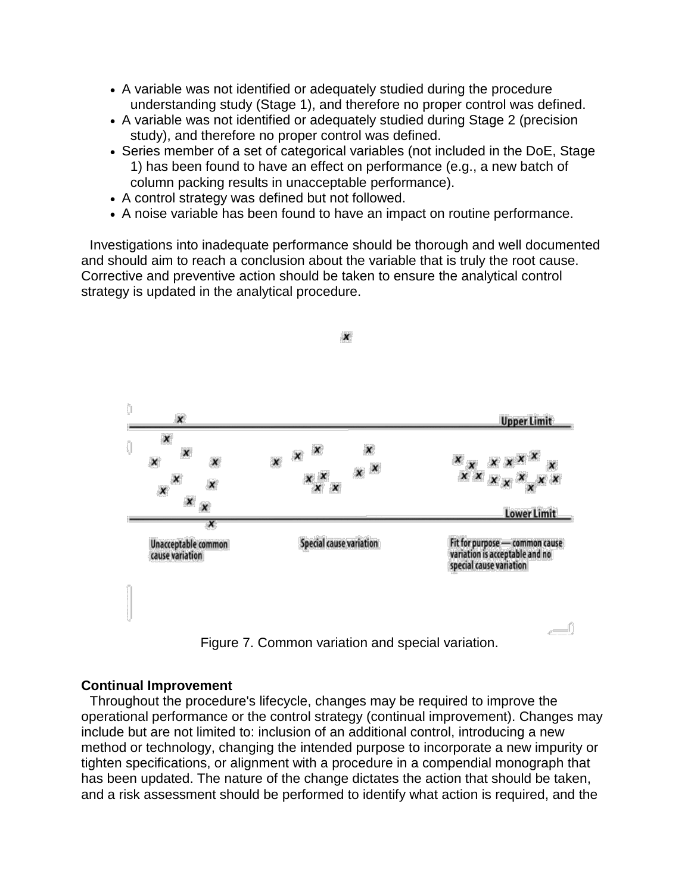- A variable was not identified or adequately studied during the procedure understanding study (Stage 1), and therefore no proper control was defined.
- A variable was not identified or adequately studied during Stage 2 (precision study), and therefore no proper control was defined.
- Series member of a set of categorical variables (not included in the DoE, Stage 1) has been found to have an effect on performance (e.g., a new batch of column packing results in unacceptable performance).
- A control strategy was defined but not followed.
- A noise variable has been found to have an impact on routine performance.

Investigations into inadequate performance should be thorough and well documented and should aim to reach a conclusion about the variable that is truly the root cause. Corrective and preventive action should be taken to ensure the analytical control strategy is updated in the analytical procedure.

 $\boldsymbol{x}$ 



Figure 7. Common variation and special variation.

#### **Continual Improvement**

Throughout the procedure's lifecycle, changes may be required to improve the operational performance or the control strategy (continual improvement). Changes may include but are not limited to: inclusion of an additional control, introducing a new method or technology, changing the intended purpose to incorporate a new impurity or tighten specifications, or alignment with a procedure in a compendial monograph that has been updated. The nature of the change dictates the action that should be taken, and a risk assessment should be performed to identify what action is required, and the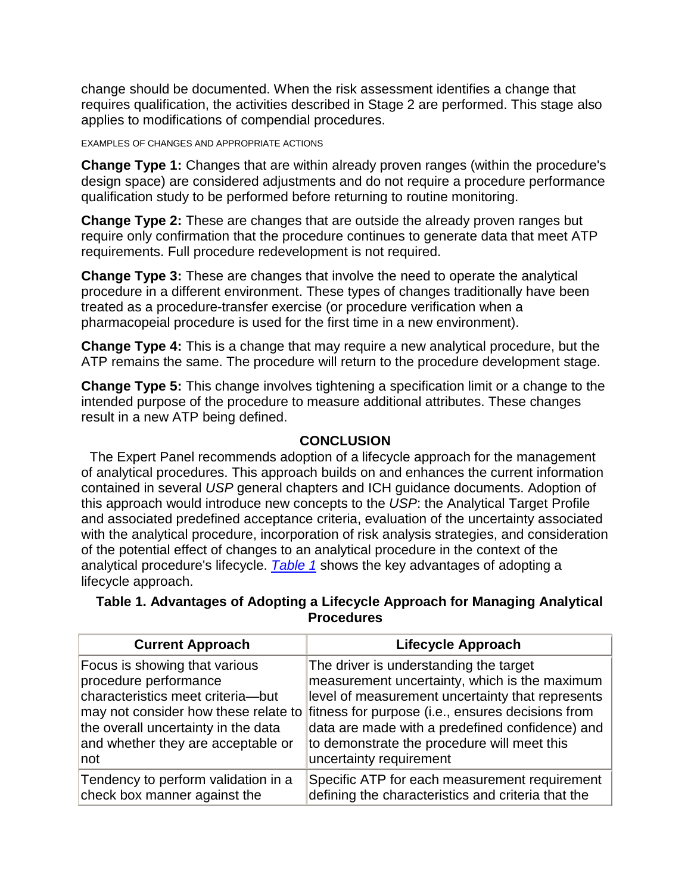change should be documented. When the risk assessment identifies a change that requires qualification, the activities described in Stage 2 are performed. This stage also applies to modifications of compendial procedures.

#### EXAMPLES OF CHANGES AND APPROPRIATE ACTIONS

**Change Type 1:** Changes that are within already proven ranges (within the procedure's design space) are considered adjustments and do not require a procedure performance qualification study to be performed before returning to routine monitoring.

**Change Type 2:** These are changes that are outside the already proven ranges but require only confirmation that the procedure continues to generate data that meet ATP requirements. Full procedure redevelopment is not required.

**Change Type 3:** These are changes that involve the need to operate the analytical procedure in a different environment. These types of changes traditionally have been treated as a procedure-transfer exercise (or procedure verification when a pharmacopeial procedure is used for the first time in a new environment).

**Change Type 4:** This is a change that may require a new analytical procedure, but the ATP remains the same. The procedure will return to the procedure development stage.

**Change Type 5:** This change involves tightening a specification limit or a change to the intended purpose of the procedure to measure additional attributes. These changes result in a new ATP being defined.

## **CONCLUSION**

The Expert Panel recommends adoption of a lifecycle approach for the management of analytical procedures. This approach builds on and enhances the current information contained in several *USP* general chapters and ICH guidance documents. Adoption of this approach would introduce new concepts to the *USP*: the Analytical Target Profile and associated predefined acceptance criteria, evaluation of the uncertainty associated with the analytical procedure, incorporation of risk analysis strategies, and consideration of the potential effect of changes to an analytical procedure in the context of the analytical procedure's lifecycle. *Table 1* shows the key advantages of adopting a lifecycle approach.

## **Table 1. Advantages of Adopting a Lifecycle Approach for Managing Analytical Procedures**

| <b>Current Approach</b>                                                                                                                                                          | <b>Lifecycle Approach</b>                                                                                                                                                                                                                                                                                                                                          |
|----------------------------------------------------------------------------------------------------------------------------------------------------------------------------------|--------------------------------------------------------------------------------------------------------------------------------------------------------------------------------------------------------------------------------------------------------------------------------------------------------------------------------------------------------------------|
| Focus is showing that various<br>procedure performance<br>characteristics meet criteria-but<br>the overall uncertainty in the data<br>and whether they are acceptable or<br>∣not | The driver is understanding the target<br>measurement uncertainty, which is the maximum<br>level of measurement uncertainty that represents<br>may not consider how these relate to fitness for purpose (i.e., ensures decisions from<br>data are made with a predefined confidence) and<br>to demonstrate the procedure will meet this<br>uncertainty requirement |
| Tendency to perform validation in a<br>check box manner against the                                                                                                              | Specific ATP for each measurement requirement<br>defining the characteristics and criteria that the                                                                                                                                                                                                                                                                |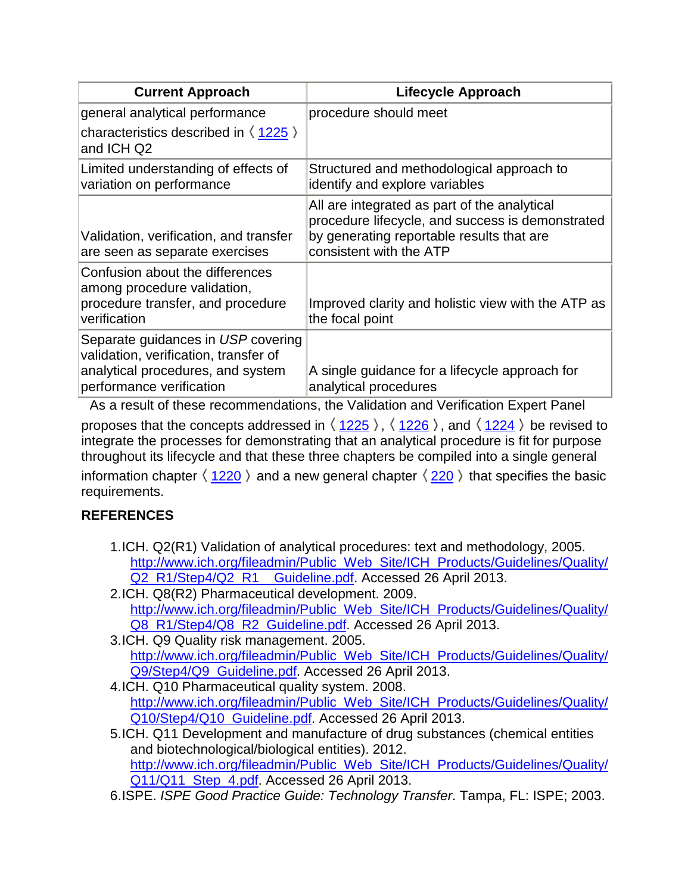| <b>Current Approach</b>                                                                                                                      | <b>Lifecycle Approach</b>                                                                                                                                                |
|----------------------------------------------------------------------------------------------------------------------------------------------|--------------------------------------------------------------------------------------------------------------------------------------------------------------------------|
| general analytical performance                                                                                                               | procedure should meet                                                                                                                                                    |
| characteristics described in $\langle 1225 \rangle$<br>and ICH Q2                                                                            |                                                                                                                                                                          |
| Limited understanding of effects of<br>variation on performance                                                                              | Structured and methodological approach to<br>identify and explore variables                                                                                              |
| Validation, verification, and transfer<br>are seen as separate exercises                                                                     | All are integrated as part of the analytical<br>procedure lifecycle, and success is demonstrated<br>by generating reportable results that are<br>consistent with the ATP |
| Confusion about the differences<br>among procedure validation,<br>procedure transfer, and procedure<br>verification                          | Improved clarity and holistic view with the ATP as<br>the focal point                                                                                                    |
| Separate guidances in USP covering<br>validation, verification, transfer of<br>analytical procedures, and system<br>performance verification | A single guidance for a lifecycle approach for<br>analytical procedures                                                                                                  |

As a result of these recommendations, the Validation and Verification Expert Panel proposes that the concepts addressed in  $\langle 1225 \rangle$ ,  $\langle 1226 \rangle$ , and  $\langle 1224 \rangle$  be revised to integrate the processes for demonstrating that an analytical procedure is fit for purpose throughout its lifecycle and that these three chapters be compiled into a single general

information chapter  $\langle 1220 \rangle$  and a new general chapter  $\langle 220 \rangle$  that specifies the basic requirements.

## **REFERENCES**

- 1.ICH. Q2(R1) Validation of analytical procedures: text and methodology, 2005. http://www.ich.org/fileadmin/Public Web Site/ICH Products/Guidelines/Quality/ Q2 R1/Step4/Q2 R1 Guideline.pdf. Accessed 26 April 2013.
- 2.ICH. Q8(R2) Pharmaceutical development. 2009. http://www.ich.org/fileadmin/Public Web Site/ICH Products/Guidelines/Quality/ Q8 R1/Step4/Q8 R2 Guideline.pdf. Accessed 26 April 2013.
- 3.ICH. Q9 Quality risk management. 2005. http://www.ich.org/fileadmin/Public Web Site/ICH Products/Guidelines/Quality/ Q9/Step4/Q9 Guideline.pdf. Accessed 26 April 2013.
- 4.ICH. Q10 Pharmaceutical quality system. 2008. http://www.ich.org/fileadmin/Public Web Site/ICH Products/Guidelines/Quality/ Q10/Step4/Q10 Guideline.pdf. Accessed 26 April 2013.
- 5.ICH. Q11 Development and manufacture of drug substances (chemical entities and biotechnological/biological entities). 2012. http://www.ich.org/fileadmin/Public Web Site/ICH Products/Guidelines/Quality/ Q11/Q11 Step 4.pdf. Accessed 26 April 2013.
- 6.ISPE. *ISPE Good Practice Guide: Technology Transfer*. Tampa, FL: ISPE; 2003.